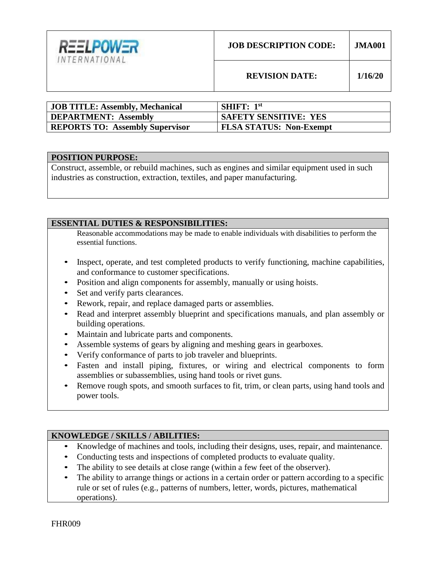

| <b>I JOB TITLE: Assembly, Mechanical</b> | <b>SHIFT:</b> $1st$            |
|------------------------------------------|--------------------------------|
| DEPARTMENT: Assembly                     | <b>SAFETY SENSITIVE: YES</b>   |
| <b>REPORTS TO: Assembly Supervisor</b>   | <b>FLSA STATUS: Non-Exempt</b> |

## **POSITION PURPOSE:**

Construct, assemble, or rebuild machines, such as engines and similar equipment used in such industries as construction, extraction, textiles, and paper manufacturing.

## **ESSENTIAL DUTIES & RESPONSIBILITIES:**

Reasonable accommodations may be made to enable individuals with disabilities to perform the essential functions.

- Inspect, operate, and test completed products to verify functioning, machine capabilities, and conformance to customer specifications.
- Position and align components for assembly, manually or using hoists.
- Set and verify parts clearances.
- Rework, repair, and replace damaged parts or assemblies.
- Read and interpret assembly blueprint and specifications manuals, and plan assembly or building operations.
- Maintain and lubricate parts and components.
- Assemble systems of gears by aligning and meshing gears in gearboxes.
- Verify conformance of parts to job traveler and blueprints.
- Fasten and install piping, fixtures, or wiring and electrical components to form assemblies or subassemblies, using hand tools or rivet guns.
- Remove rough spots, and smooth surfaces to fit, trim, or clean parts, using hand tools and power tools.

# **KNOWLEDGE / SKILLS / ABILITIES:**

- Knowledge of machines and tools, including their designs, uses, repair, and maintenance.
- Conducting tests and inspections of completed products to evaluate quality.
- The ability to see details at close range (within a few feet of the observer).
- The ability to arrange things or actions in a certain order or pattern according to a specific rule or set of rules (e.g., patterns of numbers, letter, words, pictures, mathematical operations).